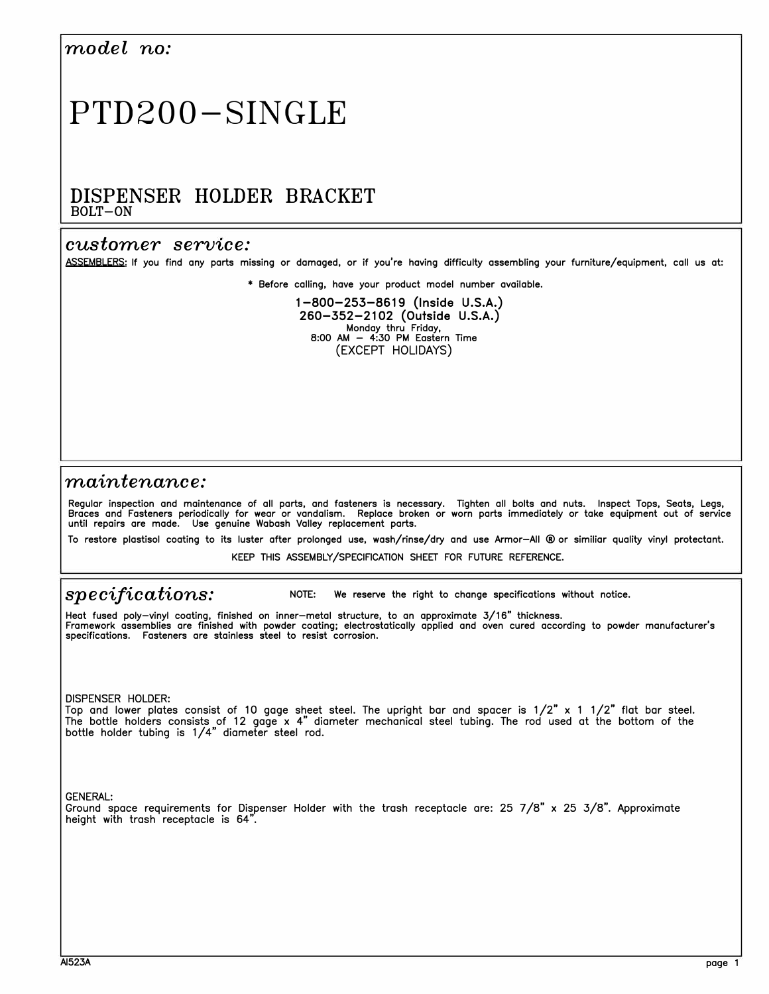## *model no:*

# PTD200-SINGLE

### DISPENSER HOLDER BRACKET **BOLT-ON**

#### *customer service:*

**ASSEMBLERS: If you find any parts missing or damaged, or if you're having difficulty assembling your furniture/equipment, call us at:** 

**• Before calling, have your product model number available.**

**1-800-253-8619 {Inside U.S.A.) 260-352-2102 {Outside U.S.A.) Monday thru Friday, 8:00 AM - 4:30 PM Eastern Time**  {EXCEPT HOLIDAYS)

#### *maintenance:*

Regular inspection and maintenance of all parts, and fasteners is necessary. Tighten all bolts and nuts. Inspect Tops, Seats, Legs,<br>Braces and Fasteners periodically for wear or vandalism. Replace broken or worn parts imm

**To restore plastisol coating to its luster after prolonged use, wash/rinse/dry and use Armor-All ® or similiar quality vinyl protectant.** 

**KEEP THIS ASSEMBLY/SPECIFICATION SHEET FOR FUTURE REFERENCE.** 

## *specifications:*

**NOTE: We reserve the right to change specifications without notice.** 

**Heat fused poly-vinyl coating, finished on inner-metal structure, to an approximate 3/16" thickness. Framework assemblies are finished with powder coating; electrostatically applied and oven cured according to powder manufacturer's specifications. Fasteners are stainless steel to resist corrosion.** 

DISPENSER HOLDER:

Top and lower plates consist of 10 gage sheet steel. The upright bar and spacer is  $1/2$ " x 1  $1/2$ " flat bar steel. The bottle holders consists of 12 gage x 4" diameter mechanical steel tubing. The rod used at the bottom of the bottle holder tubing is 1/4" diameter steel rod.

GENERAL:

Ground space requirements for Dispenser Holder with the trash receptacle are: 25 7/8" x 25 3/8". Approximate height with trash receptacle is 64".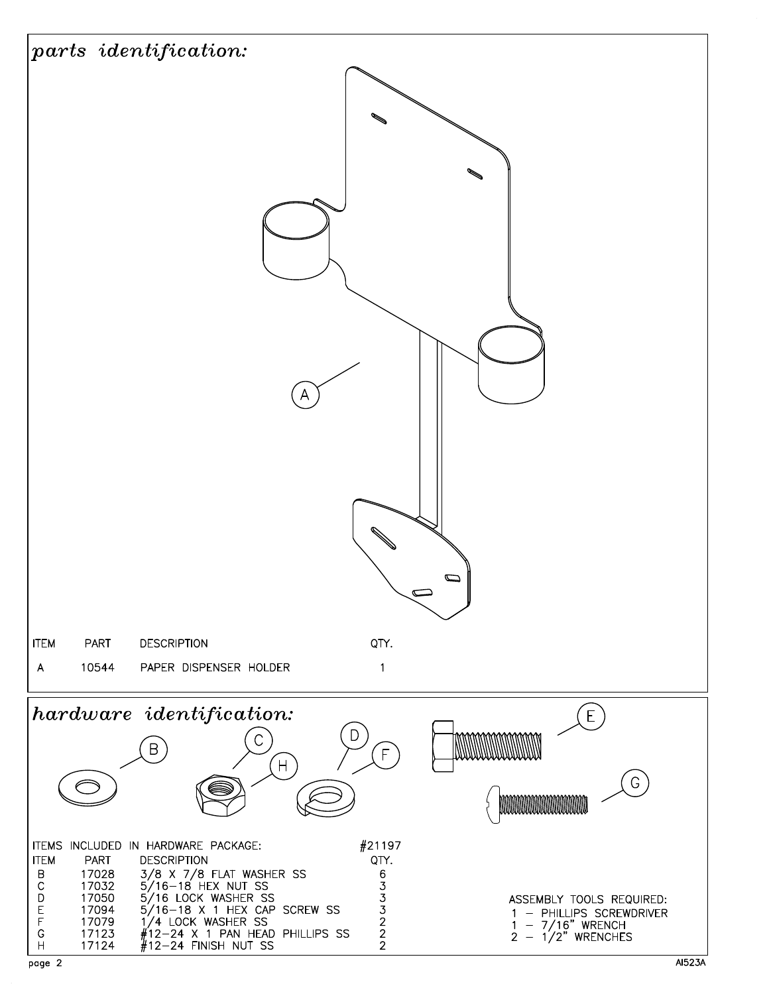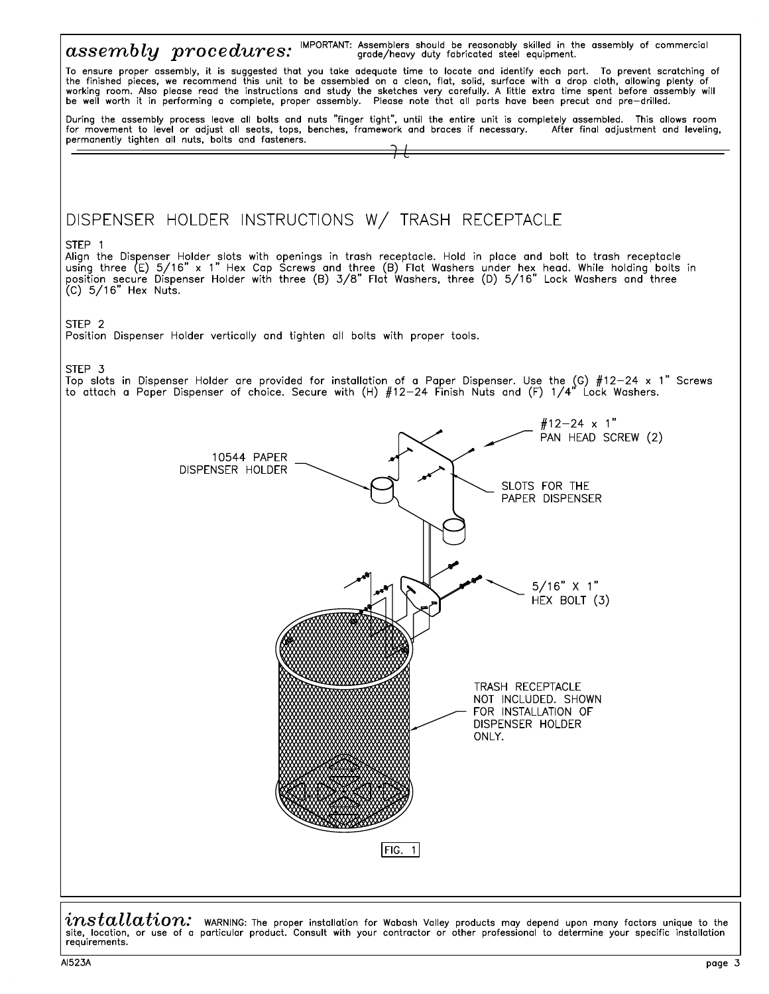

 $installation:$  waRNING: The proper installation for Wabash Valley products may depend upon many factors unique to the<br>site, location, or use of a particular product. Consult with your contractor or other professional to determine requirements.